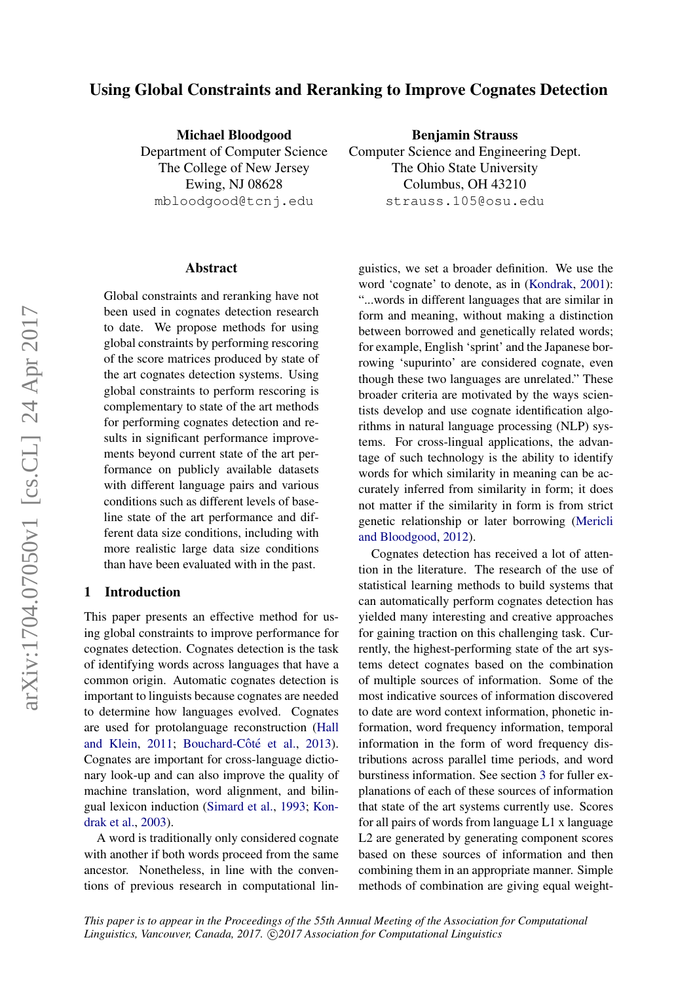# Using Global Constraints and Reranking to Improve Cognates Detection

Michael Bloodgood

Department of Computer Science The College of New Jersey Ewing, NJ 08628 mbloodgood@tcnj.edu

Benjamin Strauss Computer Science and Engineering Dept. The Ohio State University Columbus, OH 43210 strauss.105@osu.edu

#### Abstract

Global constraints and reranking have not been used in cognates detection research to date. We propose methods for using global constraints by performing rescoring of the score matrices produced by state of the art cognates detection systems. Using global constraints to perform rescoring is complementary to state of the art methods for performing cognates detection and results in significant performance improvements beyond current state of the art performance on publicly available datasets with different language pairs and various conditions such as different levels of baseline state of the art performance and different data size conditions, including with more realistic large data size conditions than have been evaluated with in the past.

#### 1 Introduction

This paper presents an effective method for using global constraints to improve performance for cognates detection. Cognates detection is the task of identifying words across languages that have a common origin. Automatic cognates detection is important to linguists because cognates are needed to determine how languages evolved. Cognates are used for protolanguage reconstruction [\(Hall](#page-8-0) [and Klein,](#page-8-0) [2011;](#page-8-0) Bouchard-Côté et al., [2013\)](#page-8-1). Cognates are important for cross-language dictionary look-up and can also improve the quality of machine translation, word alignment, and bilingual lexicon induction [\(Simard et al.,](#page-9-0) [1993;](#page-9-0) [Kon](#page-8-2)[drak et al.,](#page-8-2) [2003\)](#page-8-2).

A word is traditionally only considered cognate with another if both words proceed from the same ancestor. Nonetheless, in line with the conventions of previous research in computational linguistics, we set a broader definition. We use the word 'cognate' to denote, as in [\(Kondrak,](#page-8-3) [2001\)](#page-8-3): "...words in different languages that are similar in form and meaning, without making a distinction between borrowed and genetically related words; for example, English 'sprint' and the Japanese borrowing 'supurinto' are considered cognate, even though these two languages are unrelated." These broader criteria are motivated by the ways scientists develop and use cognate identification algorithms in natural language processing (NLP) systems. For cross-lingual applications, the advantage of such technology is the ability to identify words for which similarity in meaning can be accurately inferred from similarity in form; it does not matter if the similarity in form is from strict genetic relationship or later borrowing [\(Mericli](#page-9-1) [and Bloodgood,](#page-9-1) [2012\)](#page-9-1).

Cognates detection has received a lot of attention in the literature. The research of the use of statistical learning methods to build systems that can automatically perform cognates detection has yielded many interesting and creative approaches for gaining traction on this challenging task. Currently, the highest-performing state of the art systems detect cognates based on the combination of multiple sources of information. Some of the most indicative sources of information discovered to date are word context information, phonetic information, word frequency information, temporal information in the form of word frequency distributions across parallel time periods, and word burstiness information. See section [3](#page-3-0) for fuller explanations of each of these sources of information that state of the art systems currently use. Scores for all pairs of words from language L1 x language L2 are generated by generating component scores based on these sources of information and then combining them in an appropriate manner. Simple methods of combination are giving equal weight-

*This paper is to appear in the Proceedings of the 55th Annual Meeting of the Association for Computational* Linguistics, Vancouver, Canada, 2017. C 2017 Association for Computational Linguistics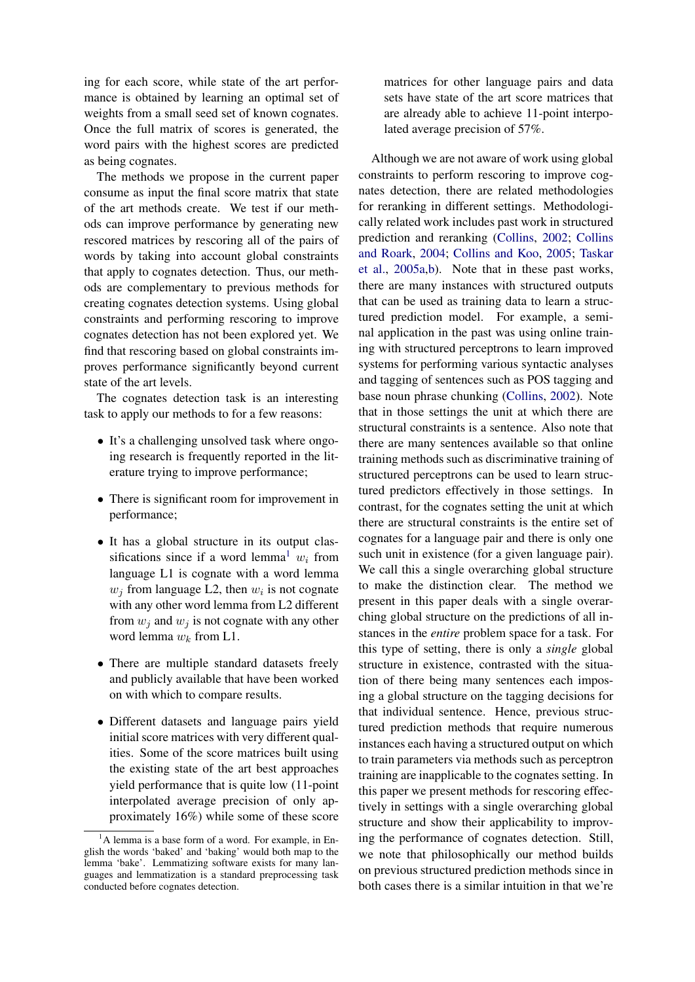ing for each score, while state of the art performance is obtained by learning an optimal set of weights from a small seed set of known cognates. Once the full matrix of scores is generated, the word pairs with the highest scores are predicted as being cognates.

The methods we propose in the current paper consume as input the final score matrix that state of the art methods create. We test if our methods can improve performance by generating new rescored matrices by rescoring all of the pairs of words by taking into account global constraints that apply to cognates detection. Thus, our methods are complementary to previous methods for creating cognates detection systems. Using global constraints and performing rescoring to improve cognates detection has not been explored yet. We find that rescoring based on global constraints improves performance significantly beyond current state of the art levels.

The cognates detection task is an interesting task to apply our methods to for a few reasons:

- It's a challenging unsolved task where ongoing research is frequently reported in the literature trying to improve performance;
- There is significant room for improvement in performance;
- It has a global structure in its output clas-sifications since if a word lemma<sup>[1](#page-1-0)</sup>  $w_i$  from language L1 is cognate with a word lemma  $w_j$  from language L2, then  $w_i$  is not cognate with any other word lemma from L2 different from  $w_j$  and  $w_j$  is not cognate with any other word lemma  $w_k$  from L1.
- There are multiple standard datasets freely and publicly available that have been worked on with which to compare results.
- Different datasets and language pairs yield initial score matrices with very different qualities. Some of the score matrices built using the existing state of the art best approaches yield performance that is quite low (11-point interpolated average precision of only approximately 16%) while some of these score

matrices for other language pairs and data sets have state of the art score matrices that are already able to achieve 11-point interpolated average precision of 57%.

Although we are not aware of work using global constraints to perform rescoring to improve cognates detection, there are related methodologies for reranking in different settings. Methodologically related work includes past work in structured prediction and reranking [\(Collins,](#page-8-4) [2002;](#page-8-4) [Collins](#page-8-5) [and Roark,](#page-8-5) [2004;](#page-8-5) [Collins and Koo,](#page-8-6) [2005;](#page-8-6) [Taskar](#page-9-2) [et al.,](#page-9-2) [2005a](#page-9-2)[,b\)](#page-9-3). Note that in these past works, there are many instances with structured outputs that can be used as training data to learn a structured prediction model. For example, a seminal application in the past was using online training with structured perceptrons to learn improved systems for performing various syntactic analyses and tagging of sentences such as POS tagging and base noun phrase chunking [\(Collins,](#page-8-4) [2002\)](#page-8-4). Note that in those settings the unit at which there are structural constraints is a sentence. Also note that there are many sentences available so that online training methods such as discriminative training of structured perceptrons can be used to learn structured predictors effectively in those settings. In contrast, for the cognates setting the unit at which there are structural constraints is the entire set of cognates for a language pair and there is only one such unit in existence (for a given language pair). We call this a single overarching global structure to make the distinction clear. The method we present in this paper deals with a single overarching global structure on the predictions of all instances in the *entire* problem space for a task. For this type of setting, there is only a *single* global structure in existence, contrasted with the situation of there being many sentences each imposing a global structure on the tagging decisions for that individual sentence. Hence, previous structured prediction methods that require numerous instances each having a structured output on which to train parameters via methods such as perceptron training are inapplicable to the cognates setting. In this paper we present methods for rescoring effectively in settings with a single overarching global structure and show their applicability to improving the performance of cognates detection. Still, we note that philosophically our method builds on previous structured prediction methods since in both cases there is a similar intuition in that we're

<span id="page-1-0"></span><sup>&</sup>lt;sup>1</sup>A lemma is a base form of a word. For example, in English the words 'baked' and 'baking' would both map to the lemma 'bake'. Lemmatizing software exists for many languages and lemmatization is a standard preprocessing task conducted before cognates detection.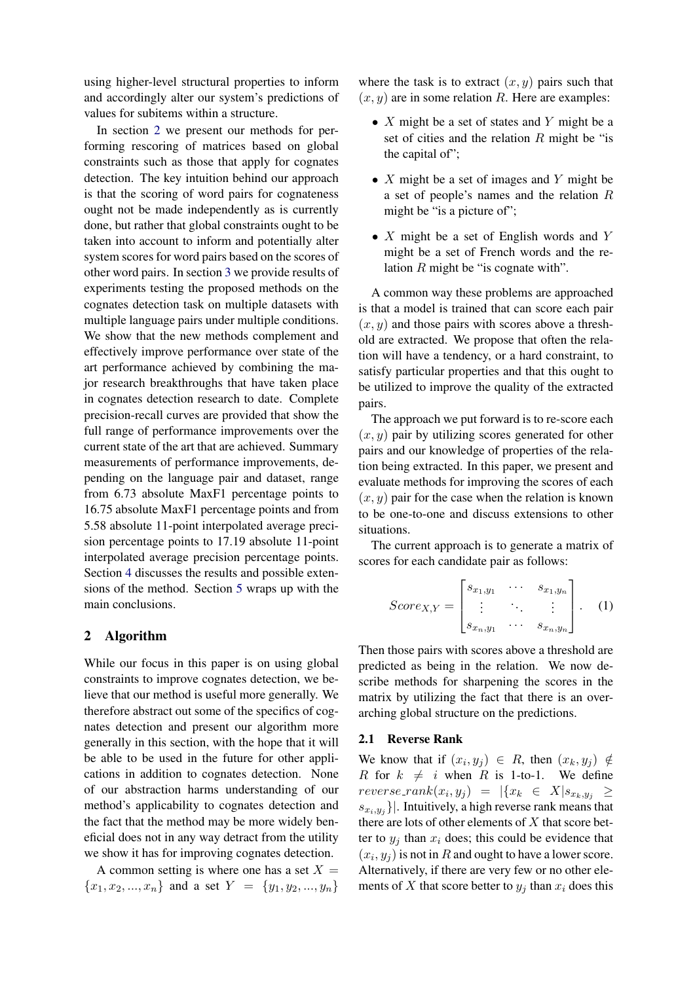using higher-level structural properties to inform and accordingly alter our system's predictions of values for subitems within a structure.

In section [2](#page-2-0) we present our methods for performing rescoring of matrices based on global constraints such as those that apply for cognates detection. The key intuition behind our approach is that the scoring of word pairs for cognateness ought not be made independently as is currently done, but rather that global constraints ought to be taken into account to inform and potentially alter system scores for word pairs based on the scores of other word pairs. In section [3](#page-3-0) we provide results of experiments testing the proposed methods on the cognates detection task on multiple datasets with multiple language pairs under multiple conditions. We show that the new methods complement and effectively improve performance over state of the art performance achieved by combining the major research breakthroughs that have taken place in cognates detection research to date. Complete precision-recall curves are provided that show the full range of performance improvements over the current state of the art that are achieved. Summary measurements of performance improvements, depending on the language pair and dataset, range from 6.73 absolute MaxF1 percentage points to 16.75 absolute MaxF1 percentage points and from 5.58 absolute 11-point interpolated average precision percentage points to 17.19 absolute 11-point interpolated average precision percentage points. Section [4](#page-7-0) discusses the results and possible extensions of the method. Section [5](#page-7-1) wraps up with the main conclusions.

# <span id="page-2-0"></span>2 Algorithm

While our focus in this paper is on using global constraints to improve cognates detection, we believe that our method is useful more generally. We therefore abstract out some of the specifics of cognates detection and present our algorithm more generally in this section, with the hope that it will be able to be used in the future for other applications in addition to cognates detection. None of our abstraction harms understanding of our method's applicability to cognates detection and the fact that the method may be more widely beneficial does not in any way detract from the utility we show it has for improving cognates detection.

A common setting is where one has a set  $X =$  ${x_1, x_2, ..., x_n}$  and a set  $Y = {y_1, y_2, ..., y_n}$  where the task is to extract  $(x, y)$  pairs such that  $(x, y)$  are in some relation R. Here are examples:

- $X$  might be a set of states and Y might be a set of cities and the relation  $R$  might be "is the capital of";
- $X$  might be a set of images and Y might be a set of people's names and the relation R might be "is a picture of";
- $X$  might be a set of English words and Y might be a set of French words and the relation  $R$  might be "is cognate with".

A common way these problems are approached is that a model is trained that can score each pair  $(x, y)$  and those pairs with scores above a threshold are extracted. We propose that often the relation will have a tendency, or a hard constraint, to satisfy particular properties and that this ought to be utilized to improve the quality of the extracted pairs.

The approach we put forward is to re-score each  $(x, y)$  pair by utilizing scores generated for other pairs and our knowledge of properties of the relation being extracted. In this paper, we present and evaluate methods for improving the scores of each  $(x, y)$  pair for the case when the relation is known to be one-to-one and discuss extensions to other situations.

The current approach is to generate a matrix of scores for each candidate pair as follows:

<span id="page-2-1"></span>
$$
Score_{X,Y} = \begin{bmatrix} s_{x_1,y_1} & \cdots & s_{x_1,y_n} \\ \vdots & \ddots & \vdots \\ s_{x_n,y_1} & \cdots & s_{x_n,y_n} \end{bmatrix} . \quad (1)
$$

Then those pairs with scores above a threshold are predicted as being in the relation. We now describe methods for sharpening the scores in the matrix by utilizing the fact that there is an overarching global structure on the predictions.

#### 2.1 Reverse Rank

We know that if  $(x_i, y_j) \in R$ , then  $(x_k, y_j) \notin R$ R for  $k \neq i$  when R is 1-to-1. We define  $reverse\_rank(x_i, y_j) = |\{x_k \in X | s_{x_k, y_j} \geq$  $\{s_{x_i,y_j}\}\right|$ . Intuitively, a high reverse rank means that there are lots of other elements of  $X$  that score better to  $y_j$  than  $x_i$  does; this could be evidence that  $(x_i, y_j)$  is not in R and ought to have a lower score. Alternatively, if there are very few or no other elements of X that score better to  $y_i$  than  $x_i$  does this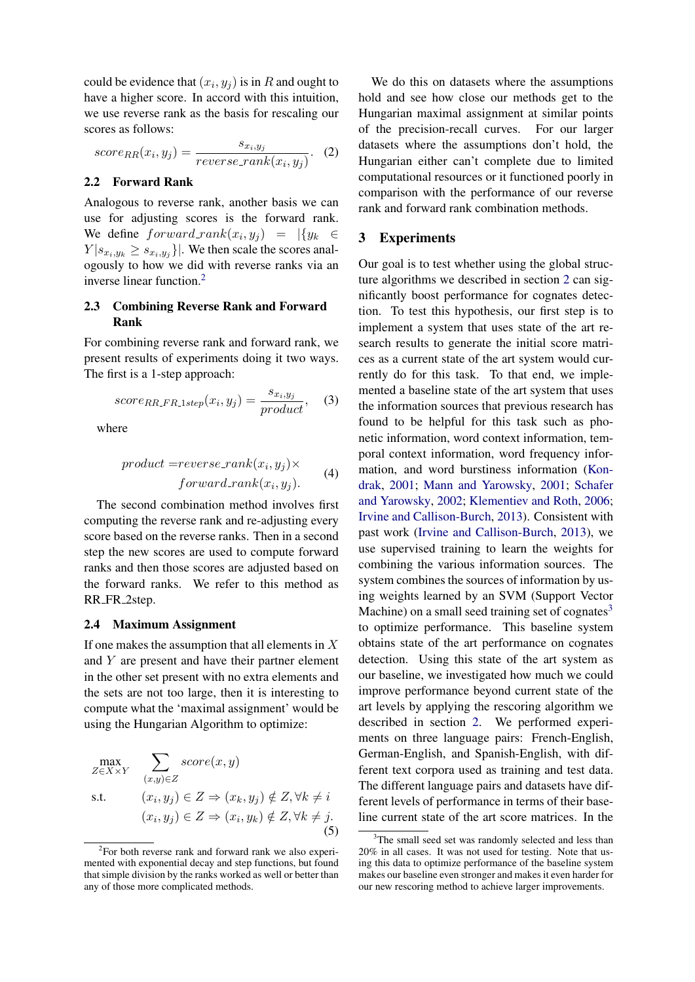could be evidence that  $(x_i, y_j)$  is in R and ought to have a higher score. In accord with this intuition, we use reverse rank as the basis for rescaling our scores as follows:

$$
score_{RR}(x_i, y_j) = \frac{s_{x_i, y_j}}{reverse\_rank(x_i, y_j)}.
$$
 (2)

#### 2.2 Forward Rank

Analogous to reverse rank, another basis we can use for adjusting scores is the forward rank. We define  $forward\_rank(x_i, y_j) = |\{y_k \in$  $Y | s_{x_i,y_k} \ge s_{x_i,y_j} \}|.$  We then scale the scores analogously to how we did with reverse ranks via an inverse linear function.[2](#page-3-1)

# 2.3 Combining Reverse Rank and Forward Rank

For combining reverse rank and forward rank, we present results of experiments doing it two ways. The first is a 1-step approach:

$$
score_{RR\_FR\_1step}(x_i, y_j) = \frac{s_{x_i, y_j}}{product}, \quad (3)
$$

where

$$
product = reverse\_rank(x_i, y_j) \times \quad \text{(4)}
$$

$$
forward\_rank(x_i, y_j). \quad \text{(4)}
$$

The second combination method involves first computing the reverse rank and re-adjusting every score based on the reverse ranks. Then in a second step the new scores are used to compute forward ranks and then those scores are adjusted based on the forward ranks. We refer to this method as RR FR 2step.

#### 2.4 Maximum Assignment

If one makes the assumption that all elements in  $X$ and Y are present and have their partner element in the other set present with no extra elements and the sets are not too large, then it is interesting to compute what the 'maximal assignment' would be using the Hungarian Algorithm to optimize:

$$
\max_{Z \in X \times Y} \sum_{(x,y) \in Z} score(x, y)
$$
\n
$$
\text{s.t.} \quad (x_i, y_j) \in Z \Rightarrow (x_k, y_j) \notin Z, \forall k \neq i
$$
\n
$$
(x_i, y_j) \in Z \Rightarrow (x_i, y_k) \notin Z, \forall k \neq j.
$$
\n
$$
(5)
$$

We do this on datasets where the assumptions hold and see how close our methods get to the Hungarian maximal assignment at similar points of the precision-recall curves. For our larger datasets where the assumptions don't hold, the Hungarian either can't complete due to limited computational resources or it functioned poorly in comparison with the performance of our reverse rank and forward rank combination methods.

## <span id="page-3-0"></span>3 Experiments

Our goal is to test whether using the global structure algorithms we described in section [2](#page-2-0) can significantly boost performance for cognates detection. To test this hypothesis, our first step is to implement a system that uses state of the art research results to generate the initial score matrices as a current state of the art system would currently do for this task. To that end, we implemented a baseline state of the art system that uses the information sources that previous research has found to be helpful for this task such as phonetic information, word context information, temporal context information, word frequency information, and word burstiness information [\(Kon](#page-8-3)[drak,](#page-8-3) [2001;](#page-8-3) [Mann and Yarowsky,](#page-8-7) [2001;](#page-8-7) [Schafer](#page-9-4) [and Yarowsky,](#page-9-4) [2002;](#page-9-4) [Klementiev and Roth,](#page-8-8) [2006;](#page-8-8) [Irvine and Callison-Burch,](#page-8-9) [2013\)](#page-8-9). Consistent with past work [\(Irvine and Callison-Burch,](#page-8-9) [2013\)](#page-8-9), we use supervised training to learn the weights for combining the various information sources. The system combines the sources of information by using weights learned by an SVM (Support Vector Machine) on a small seed training set of cognates $3$ to optimize performance. This baseline system obtains state of the art performance on cognates detection. Using this state of the art system as our baseline, we investigated how much we could improve performance beyond current state of the art levels by applying the rescoring algorithm we described in section [2.](#page-2-0) We performed experiments on three language pairs: French-English, German-English, and Spanish-English, with different text corpora used as training and test data. The different language pairs and datasets have different levels of performance in terms of their baseline current state of the art score matrices. In the

<span id="page-3-1"></span><sup>&</sup>lt;sup>2</sup>For both reverse rank and forward rank we also experimented with exponential decay and step functions, but found that simple division by the ranks worked as well or better than any of those more complicated methods.

<span id="page-3-2"></span><sup>&</sup>lt;sup>3</sup>The small seed set was randomly selected and less than 20% in all cases. It was not used for testing. Note that using this data to optimize performance of the baseline system makes our baseline even stronger and makes it even harder for our new rescoring method to achieve larger improvements.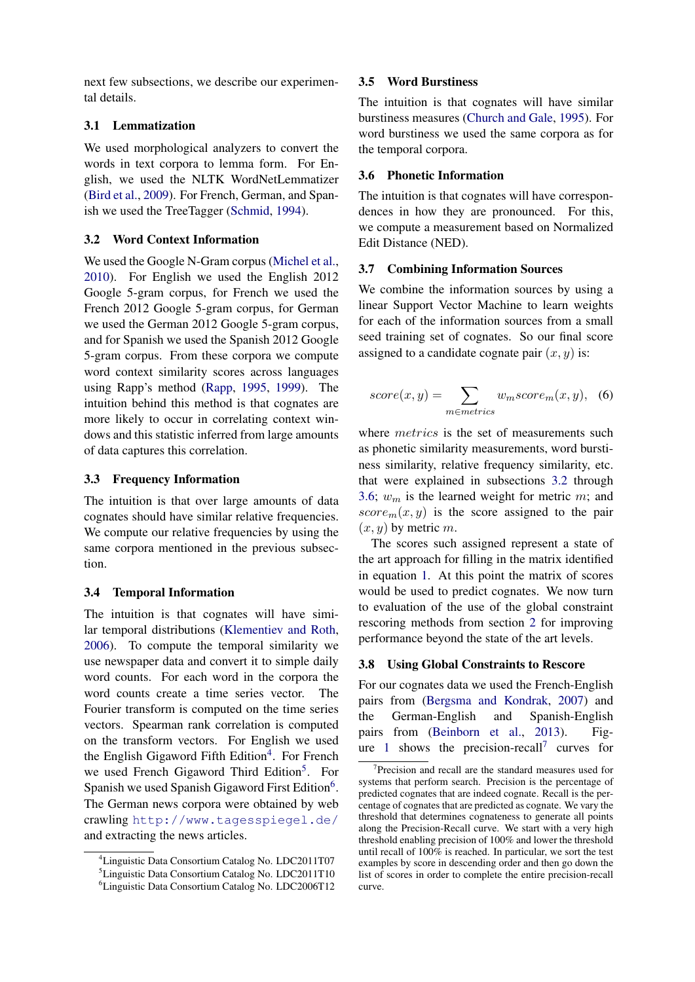next few subsections, we describe our experimental details.

# 3.1 Lemmatization

We used morphological analyzers to convert the words in text corpora to lemma form. For English, we used the NLTK WordNetLemmatizer [\(Bird et al.,](#page-8-10) [2009\)](#page-8-10). For French, German, and Spanish we used the TreeTagger [\(Schmid,](#page-9-5) [1994\)](#page-9-5).

## <span id="page-4-3"></span>3.2 Word Context Information

We used the Google N-Gram corpus [\(Michel et al.,](#page-9-6) [2010\)](#page-9-6). For English we used the English 2012 Google 5-gram corpus, for French we used the French 2012 Google 5-gram corpus, for German we used the German 2012 Google 5-gram corpus, and for Spanish we used the Spanish 2012 Google 5-gram corpus. From these corpora we compute word context similarity scores across languages using Rapp's method [\(Rapp,](#page-9-7) [1995,](#page-9-7) [1999\)](#page-9-8). The intuition behind this method is that cognates are more likely to occur in correlating context windows and this statistic inferred from large amounts of data captures this correlation.

## 3.3 Frequency Information

The intuition is that over large amounts of data cognates should have similar relative frequencies. We compute our relative frequencies by using the same corpora mentioned in the previous subsection.

# 3.4 Temporal Information

The intuition is that cognates will have similar temporal distributions [\(Klementiev and Roth,](#page-8-8) [2006\)](#page-8-8). To compute the temporal similarity we use newspaper data and convert it to simple daily word counts. For each word in the corpora the word counts create a time series vector. The Fourier transform is computed on the time series vectors. Spearman rank correlation is computed on the transform vectors. For English we used the English Gigaword Fifth Edition<sup>[4](#page-4-0)</sup>. For French we used French Gigaword Third Edition<sup>[5](#page-4-1)</sup>. For Spanish we used Spanish Gigaword First Edition<sup>[6](#page-4-2)</sup>. The German news corpora were obtained by web crawling <http://www.tagesspiegel.de/> and extracting the news articles.

#### 3.5 Word Burstiness

The intuition is that cognates will have similar burstiness measures [\(Church and Gale,](#page-8-11) [1995\)](#page-8-11). For word burstiness we used the same corpora as for the temporal corpora.

### <span id="page-4-4"></span>3.6 Phonetic Information

The intuition is that cognates will have correspondences in how they are pronounced. For this, we compute a measurement based on Normalized Edit Distance (NED).

## 3.7 Combining Information Sources

We combine the information sources by using a linear Support Vector Machine to learn weights for each of the information sources from a small seed training set of cognates. So our final score assigned to a candidate cognate pair  $(x, y)$  is:

$$
score(x, y) = \sum_{m \in metrics} w_m score_m(x, y), \quad (6)
$$

where *metrics* is the set of measurements such as phonetic similarity measurements, word burstiness similarity, relative frequency similarity, etc. that were explained in subsections [3.2](#page-4-3) through [3.6;](#page-4-4)  $w_m$  is the learned weight for metric m; and  $score_m(x, y)$  is the score assigned to the pair  $(x, y)$  by metric m.

The scores such assigned represent a state of the art approach for filling in the matrix identified in equation [1.](#page-2-1) At this point the matrix of scores would be used to predict cognates. We now turn to evaluation of the use of the global constraint rescoring methods from section [2](#page-2-0) for improving performance beyond the state of the art levels.

#### 3.8 Using Global Constraints to Rescore

For our cognates data we used the French-English pairs from [\(Bergsma and Kondrak,](#page-8-12) [2007\)](#page-8-12) and the German-English and Spanish-English pairs from [\(Beinborn et al.,](#page-8-13) [2013\)](#page-8-13). Fig-ure [1](#page-5-0) shows the precision-recall<sup>[7](#page-4-5)</sup> curves for

<span id="page-4-0"></span><sup>4</sup>Linguistic Data Consortium Catalog No. LDC2011T07

<span id="page-4-1"></span><sup>5</sup>Linguistic Data Consortium Catalog No. LDC2011T10

<span id="page-4-2"></span><sup>6</sup>Linguistic Data Consortium Catalog No. LDC2006T12

<span id="page-4-5"></span><sup>7</sup> Precision and recall are the standard measures used for systems that perform search. Precision is the percentage of predicted cognates that are indeed cognate. Recall is the percentage of cognates that are predicted as cognate. We vary the threshold that determines cognateness to generate all points along the Precision-Recall curve. We start with a very high threshold enabling precision of 100% and lower the threshold until recall of 100% is reached. In particular, we sort the test examples by score in descending order and then go down the list of scores in order to complete the entire precision-recall curve.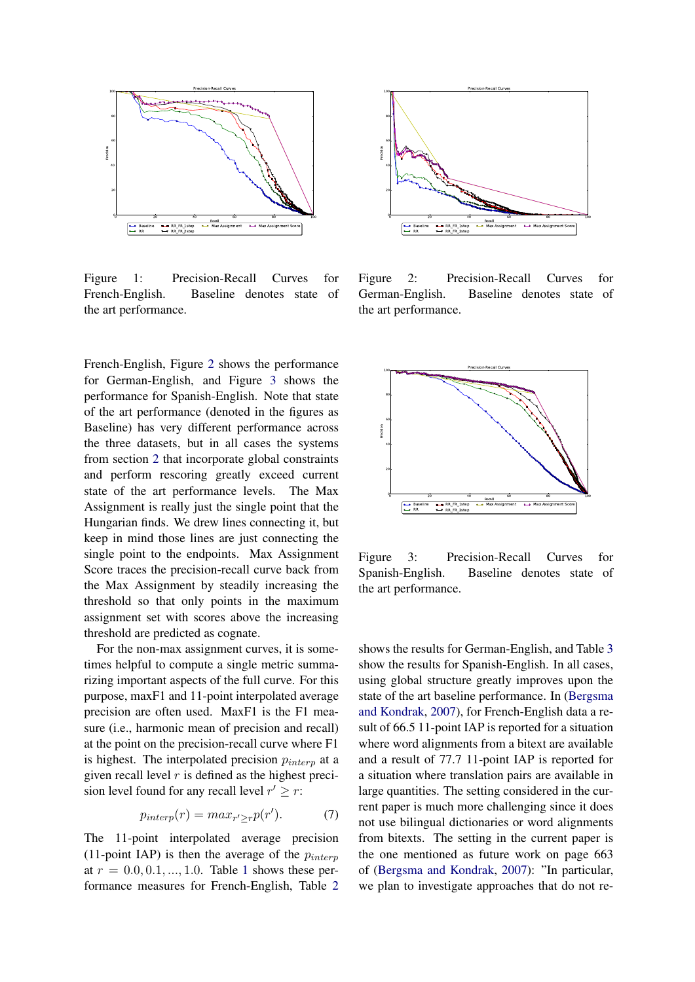

<span id="page-5-0"></span>Figure 1: Precision-Recall Curves for French-English. Baseline denotes state of the art performance.

French-English, Figure [2](#page-5-1) shows the performance for German-English, and Figure [3](#page-5-2) shows the performance for Spanish-English. Note that state of the art performance (denoted in the figures as Baseline) has very different performance across the three datasets, but in all cases the systems from section [2](#page-2-0) that incorporate global constraints and perform rescoring greatly exceed current state of the art performance levels. The Max Assignment is really just the single point that the Hungarian finds. We drew lines connecting it, but keep in mind those lines are just connecting the single point to the endpoints. Max Assignment Score traces the precision-recall curve back from the Max Assignment by steadily increasing the threshold so that only points in the maximum assignment set with scores above the increasing threshold are predicted as cognate.

For the non-max assignment curves, it is sometimes helpful to compute a single metric summarizing important aspects of the full curve. For this purpose, maxF1 and 11-point interpolated average precision are often used. MaxF1 is the F1 measure (i.e., harmonic mean of precision and recall) at the point on the precision-recall curve where F1 is highest. The interpolated precision  $p_{interp}$  at a given recall level  $r$  is defined as the highest precision level found for any recall level  $r' \geq r$ :

$$
p_{interp}(r) = max_{r' \ge r} p(r'). \tag{7}
$$

The 11-point interpolated average precision (11-point IAP) is then the average of the  $p_{interp}$ at  $r = 0.0, 0.1, ..., 1.0$  $r = 0.0, 0.1, ..., 1.0$  $r = 0.0, 0.1, ..., 1.0$ . Table 1 shows these performance measures for French-English, Table [2](#page-6-1)



<span id="page-5-1"></span>Figure 2: Precision-Recall Curves for German-English. Baseline denotes state of the art performance.



<span id="page-5-2"></span>Figure 3: Precision-Recall Curves for Spanish-English. Baseline denotes state of the art performance.

shows the results for German-English, and Table [3](#page-6-2) show the results for Spanish-English. In all cases, using global structure greatly improves upon the state of the art baseline performance. In [\(Bergsma](#page-8-12) [and Kondrak,](#page-8-12) [2007\)](#page-8-12), for French-English data a result of 66.5 11-point IAP is reported for a situation where word alignments from a bitext are available and a result of 77.7 11-point IAP is reported for a situation where translation pairs are available in large quantities. The setting considered in the current paper is much more challenging since it does not use bilingual dictionaries or word alignments from bitexts. The setting in the current paper is the one mentioned as future work on page 663 of [\(Bergsma and Kondrak,](#page-8-12) [2007\)](#page-8-12): "In particular, we plan to investigate approaches that do not re-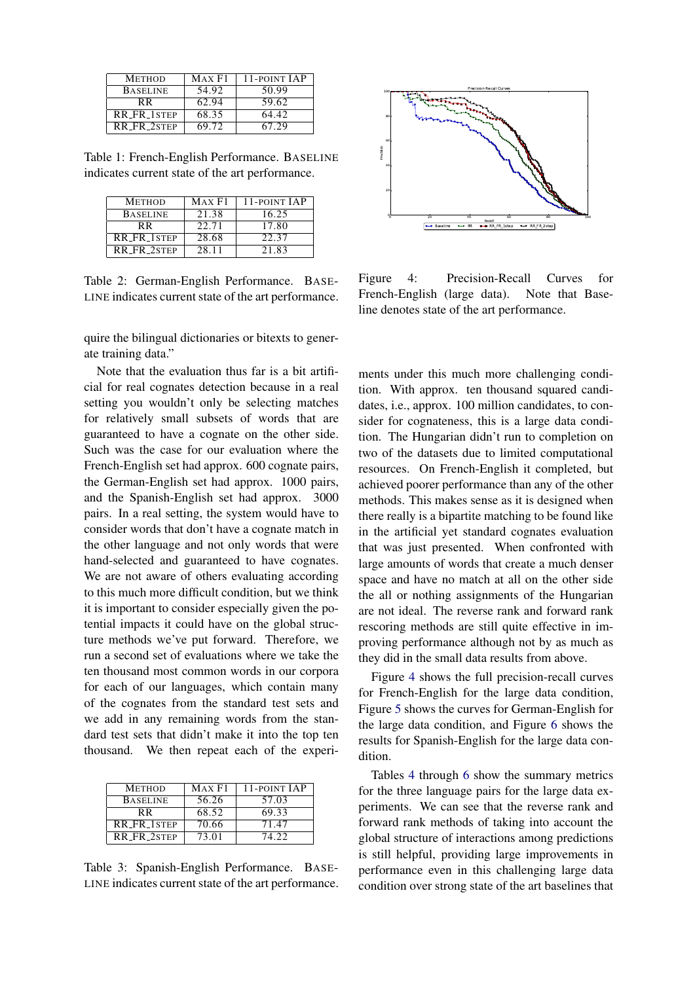| <b>METHOD</b>      | MAX F1 | 11-POINT JAP |
|--------------------|--------|--------------|
| <b>BASELINE</b>    | 54.92  | 50.99        |
| R R                | 62.94  | 59.62        |
| <b>RR FR 1STEP</b> | 68.35  | 64.42        |
| <b>RR FR 2STEP</b> | 69.72  | 67.29        |

<span id="page-6-0"></span>Table 1: French-English Performance. BASELINE indicates current state of the art performance.

| <b>METHOD</b>      | MAX F1 | 11-POINT JAP |
|--------------------|--------|--------------|
| <b>BASELINE</b>    | 21.38  | 16.25        |
| R R                | 22.71  | 17.80        |
| <b>RR FR 1STEP</b> | 28.68  | 22.37        |
| <b>RR FR 2STEP</b> | 2.8.11 | 21.83        |

<span id="page-6-1"></span>Table 2: German-English Performance. BASE-LINE indicates current state of the art performance.

quire the bilingual dictionaries or bitexts to generate training data."

Note that the evaluation thus far is a bit artificial for real cognates detection because in a real setting you wouldn't only be selecting matches for relatively small subsets of words that are guaranteed to have a cognate on the other side. Such was the case for our evaluation where the French-English set had approx. 600 cognate pairs, the German-English set had approx. 1000 pairs, and the Spanish-English set had approx. 3000 pairs. In a real setting, the system would have to consider words that don't have a cognate match in the other language and not only words that were hand-selected and guaranteed to have cognates. We are not aware of others evaluating according to this much more difficult condition, but we think it is important to consider especially given the potential impacts it could have on the global structure methods we've put forward. Therefore, we run a second set of evaluations where we take the ten thousand most common words in our corpora for each of our languages, which contain many of the cognates from the standard test sets and we add in any remaining words from the standard test sets that didn't make it into the top ten thousand. We then repeat each of the experi-

| <b>METHOD</b>      | MAX F1 | 11-POINT JAP |
|--------------------|--------|--------------|
| <b>BASELINE</b>    | 56.26  | 57.03        |
| R R                | 68.52  | 69.33        |
| <b>RR FR 1STEP</b> | 70.66  | 71.47        |
| RR_FR_2STEP        | 73.01  | 74 22        |

<span id="page-6-2"></span>Table 3: Spanish-English Performance. BASE-LINE indicates current state of the art performance.



<span id="page-6-3"></span>Figure 4: Precision-Recall Curves for French-English (large data). Note that Baseline denotes state of the art performance.

ments under this much more challenging condition. With approx. ten thousand squared candidates, i.e., approx. 100 million candidates, to consider for cognateness, this is a large data condition. The Hungarian didn't run to completion on two of the datasets due to limited computational resources. On French-English it completed, but achieved poorer performance than any of the other methods. This makes sense as it is designed when there really is a bipartite matching to be found like in the artificial yet standard cognates evaluation that was just presented. When confronted with large amounts of words that create a much denser space and have no match at all on the other side the all or nothing assignments of the Hungarian are not ideal. The reverse rank and forward rank rescoring methods are still quite effective in improving performance although not by as much as they did in the small data results from above.

Figure [4](#page-6-3) shows the full precision-recall curves for French-English for the large data condition, Figure [5](#page-7-2) shows the curves for German-English for the large data condition, and Figure [6](#page-7-3) shows the results for Spanish-English for the large data condition.

Tables [4](#page-7-4) through [6](#page-7-5) show the summary metrics for the three language pairs for the large data experiments. We can see that the reverse rank and forward rank methods of taking into account the global structure of interactions among predictions is still helpful, providing large improvements in performance even in this challenging large data condition over strong state of the art baselines that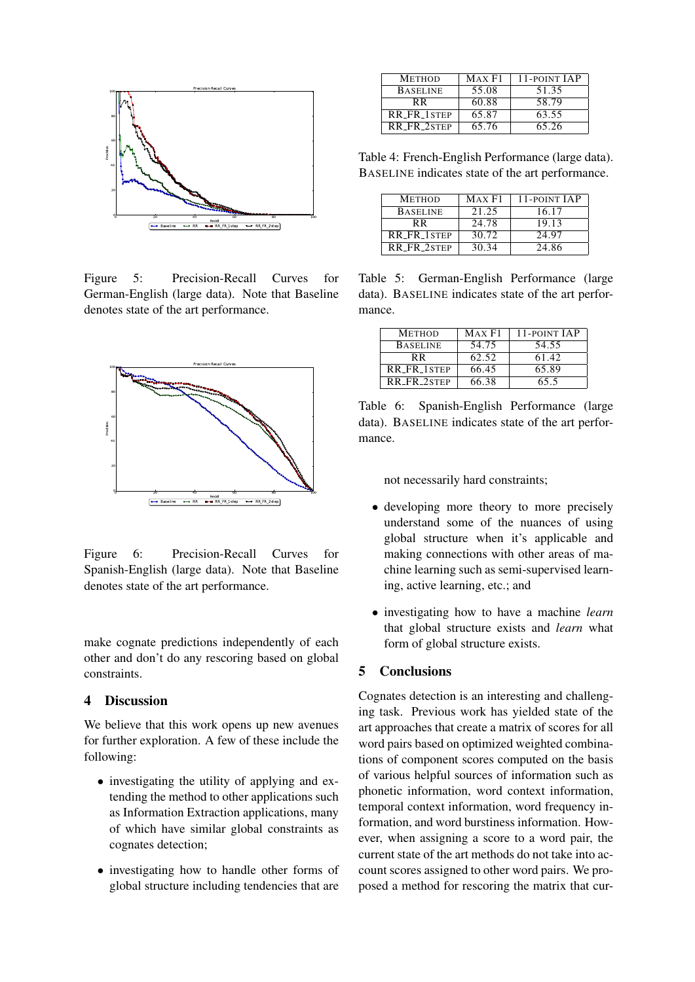

<span id="page-7-2"></span>Figure 5: Precision-Recall Curves for German-English (large data). Note that Baseline denotes state of the art performance.



<span id="page-7-3"></span>Figure 6: Precision-Recall Curves for Spanish-English (large data). Note that Baseline denotes state of the art performance.

make cognate predictions independently of each other and don't do any rescoring based on global constraints.

## <span id="page-7-0"></span>4 Discussion

We believe that this work opens up new avenues for further exploration. A few of these include the following:

- investigating the utility of applying and extending the method to other applications such as Information Extraction applications, many of which have similar global constraints as cognates detection;
- investigating how to handle other forms of global structure including tendencies that are

| <b>METHOD</b>      | MAX F1 | 11-POINT JAP |
|--------------------|--------|--------------|
| <b>BASELINE</b>    | 55.08  | 51.35        |
| R R                | 60.88  | 58.79        |
| <b>RR FR 1STEP</b> | 65.87  | 63.55        |
| RR_FR_2STEP        | 65.76  | 65.26        |

<span id="page-7-4"></span>Table 4: French-English Performance (large data). BASELINE indicates state of the art performance.

| <b>METHOD</b>      | MAX F1 | 11-POINT JAP |
|--------------------|--------|--------------|
| <b>BASELINE</b>    | 21.25  | 16.17        |
| R R                | 24.78  | 19.13        |
| <b>RR FR 1STEP</b> | 30.72  | 24.97        |
| <b>RR FR 2STEP</b> | 30.34  | 24.86        |

Table 5: German-English Performance (large data). BASELINE indicates state of the art performance.

| <b>METHOD</b>   | MAX F1 | 11-POINT JAP |
|-----------------|--------|--------------|
| <b>BASELINE</b> | 54.75  | 54.55        |
| R R             | 62.52  | 61.42        |
| RR_FR_1STEP     | 66.45  | 65.89        |
| RR_FR_2STEP     | 66.38  | 65.5         |

<span id="page-7-5"></span>Table 6: Spanish-English Performance (large data). BASELINE indicates state of the art performance.

not necessarily hard constraints;

- developing more theory to more precisely understand some of the nuances of using global structure when it's applicable and making connections with other areas of machine learning such as semi-supervised learning, active learning, etc.; and
- investigating how to have a machine *learn* that global structure exists and *learn* what form of global structure exists.

## <span id="page-7-1"></span>5 Conclusions

Cognates detection is an interesting and challenging task. Previous work has yielded state of the art approaches that create a matrix of scores for all word pairs based on optimized weighted combinations of component scores computed on the basis of various helpful sources of information such as phonetic information, word context information, temporal context information, word frequency information, and word burstiness information. However, when assigning a score to a word pair, the current state of the art methods do not take into account scores assigned to other word pairs. We proposed a method for rescoring the matrix that cur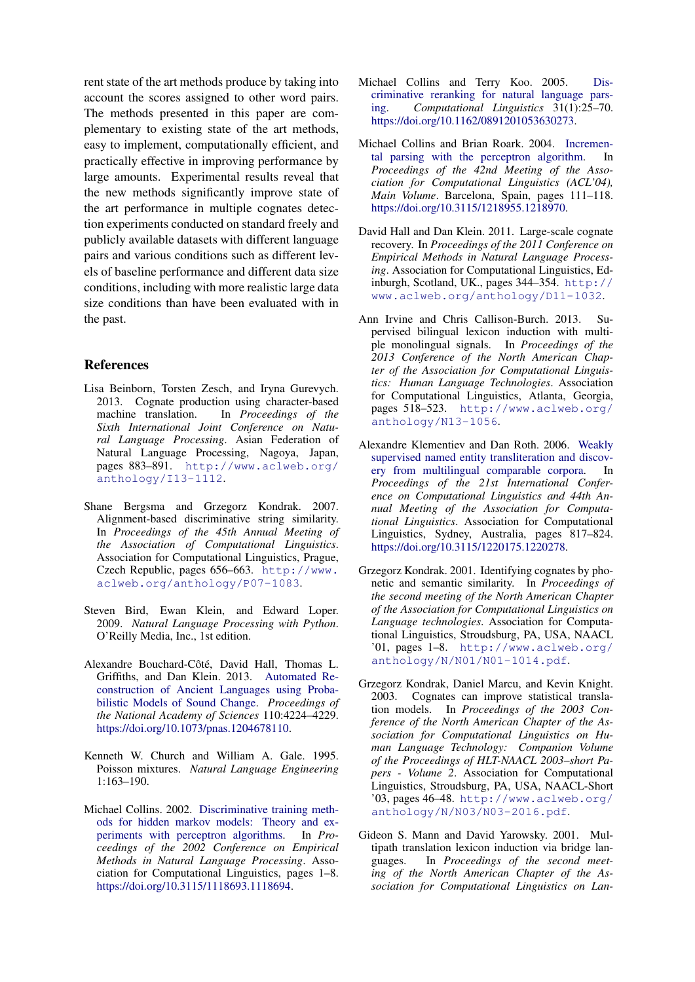rent state of the art methods produce by taking into account the scores assigned to other word pairs. The methods presented in this paper are complementary to existing state of the art methods, easy to implement, computationally efficient, and practically effective in improving performance by large amounts. Experimental results reveal that the new methods significantly improve state of the art performance in multiple cognates detection experiments conducted on standard freely and publicly available datasets with different language pairs and various conditions such as different levels of baseline performance and different data size conditions, including with more realistic large data size conditions than have been evaluated with in the past.

## References

- <span id="page-8-13"></span>Lisa Beinborn, Torsten Zesch, and Iryna Gurevych. 2013. Cognate production using character-based machine translation. In *Proceedings of the Sixth International Joint Conference on Natural Language Processing*. Asian Federation of Natural Language Processing, Nagoya, Japan, pages 883–891. [http://www.aclweb.org/](http://www.aclweb.org/anthology/I13-1112) [anthology/I13-1112](http://www.aclweb.org/anthology/I13-1112).
- <span id="page-8-12"></span>Shane Bergsma and Grzegorz Kondrak. 2007. Alignment-based discriminative string similarity. In *Proceedings of the 45th Annual Meeting of the Association of Computational Linguistics*. Association for Computational Linguistics, Prague, Czech Republic, pages 656–663. [http://www.](http://www.aclweb.org/anthology/P07-1083) [aclweb.org/anthology/P07-1083](http://www.aclweb.org/anthology/P07-1083).
- <span id="page-8-10"></span>Steven Bird, Ewan Klein, and Edward Loper. 2009. *Natural Language Processing with Python*. O'Reilly Media, Inc., 1st edition.
- <span id="page-8-1"></span>Alexandre Bouchard-Côté, David Hall, Thomas L. Griffiths, and Dan Klein. 2013. [Automated Re](https://doi.org/10.1073/pnas.1204678110)[construction of Ancient Languages using Proba](https://doi.org/10.1073/pnas.1204678110)[bilistic Models of Sound Change.](https://doi.org/10.1073/pnas.1204678110) *Proceedings of the National Academy of Sciences* 110:4224–4229. [https://doi.org/10.1073/pnas.1204678110.](https://doi.org/10.1073/pnas.1204678110)
- <span id="page-8-11"></span>Kenneth W. Church and William A. Gale. 1995. Poisson mixtures. *Natural Language Engineering* 1:163–190.
- <span id="page-8-4"></span>Michael Collins. 2002. [Discriminative training meth](https://doi.org/10.3115/1118693.1118694)[ods for hidden markov models: Theory and ex](https://doi.org/10.3115/1118693.1118694)[periments with perceptron algorithms.](https://doi.org/10.3115/1118693.1118694) In *Proceedings of the 2002 Conference on Empirical Methods in Natural Language Processing*. Association for Computational Linguistics, pages 1–8. [https://doi.org/10.3115/1118693.1118694.](https://doi.org/10.3115/1118693.1118694)
- <span id="page-8-6"></span>Michael Collins and Terry Koo. 2005. [Dis](https://doi.org/10.1162/0891201053630273)[criminative reranking for natural language pars](https://doi.org/10.1162/0891201053630273)[ing.](https://doi.org/10.1162/0891201053630273) *Computational Linguistics* 31(1):25–70. [https://doi.org/10.1162/0891201053630273.](https://doi.org/10.1162/0891201053630273)
- <span id="page-8-5"></span>Michael Collins and Brian Roark. 2004. [Incremen](https://doi.org/10.3115/1218955.1218970)[tal parsing with the perceptron algorithm.](https://doi.org/10.3115/1218955.1218970) In *Proceedings of the 42nd Meeting of the Association for Computational Linguistics (ACL'04), Main Volume*. Barcelona, Spain, pages 111–118. [https://doi.org/10.3115/1218955.1218970.](https://doi.org/10.3115/1218955.1218970)
- <span id="page-8-0"></span>David Hall and Dan Klein. 2011. Large-scale cognate recovery. In *Proceedings of the 2011 Conference on Empirical Methods in Natural Language Processing*. Association for Computational Linguistics, Edinburgh, Scotland, UK., pages 344–354. [http://](http://www.aclweb.org/anthology/D11-1032) [www.aclweb.org/anthology/D11-1032](http://www.aclweb.org/anthology/D11-1032).
- <span id="page-8-9"></span>Ann Irvine and Chris Callison-Burch. 2013. Supervised bilingual lexicon induction with multiple monolingual signals. In *Proceedings of the 2013 Conference of the North American Chapter of the Association for Computational Linguistics: Human Language Technologies*. Association for Computational Linguistics, Atlanta, Georgia, pages 518–523. [http://www.aclweb.org/](http://www.aclweb.org/anthology/N13-1056) [anthology/N13-1056](http://www.aclweb.org/anthology/N13-1056).
- <span id="page-8-8"></span>Alexandre Klementiev and Dan Roth. 2006. [Weakly](https://doi.org/10.3115/1220175.1220278) [supervised named entity transliteration and discov](https://doi.org/10.3115/1220175.1220278)[ery from multilingual comparable corpora.](https://doi.org/10.3115/1220175.1220278) In *Proceedings of the 21st International Conference on Computational Linguistics and 44th Annual Meeting of the Association for Computational Linguistics*. Association for Computational Linguistics, Sydney, Australia, pages 817–824. [https://doi.org/10.3115/1220175.1220278.](https://doi.org/10.3115/1220175.1220278)
- <span id="page-8-3"></span>Grzegorz Kondrak. 2001. Identifying cognates by phonetic and semantic similarity. In *Proceedings of the second meeting of the North American Chapter of the Association for Computational Linguistics on Language technologies*. Association for Computational Linguistics, Stroudsburg, PA, USA, NAACL '01, pages 1–8. [http://www.aclweb.org/](http://www.aclweb.org/anthology/N/N01/N01-1014.pdf) [anthology/N/N01/N01-1014.pdf](http://www.aclweb.org/anthology/N/N01/N01-1014.pdf).
- <span id="page-8-2"></span>Grzegorz Kondrak, Daniel Marcu, and Kevin Knight. 2003. Cognates can improve statistical translation models. In *Proceedings of the 2003 Conference of the North American Chapter of the Association for Computational Linguistics on Human Language Technology: Companion Volume of the Proceedings of HLT-NAACL 2003–short Papers - Volume 2*. Association for Computational Linguistics, Stroudsburg, PA, USA, NAACL-Short '03, pages 46–48. [http://www.aclweb.org/](http://www.aclweb.org/anthology/N/N03/N03-2016.pdf) [anthology/N/N03/N03-2016.pdf](http://www.aclweb.org/anthology/N/N03/N03-2016.pdf).
- <span id="page-8-7"></span>Gideon S. Mann and David Yarowsky. 2001. Multipath translation lexicon induction via bridge languages. In *Proceedings of the second meeting of the North American Chapter of the Association for Computational Linguistics on Lan-*